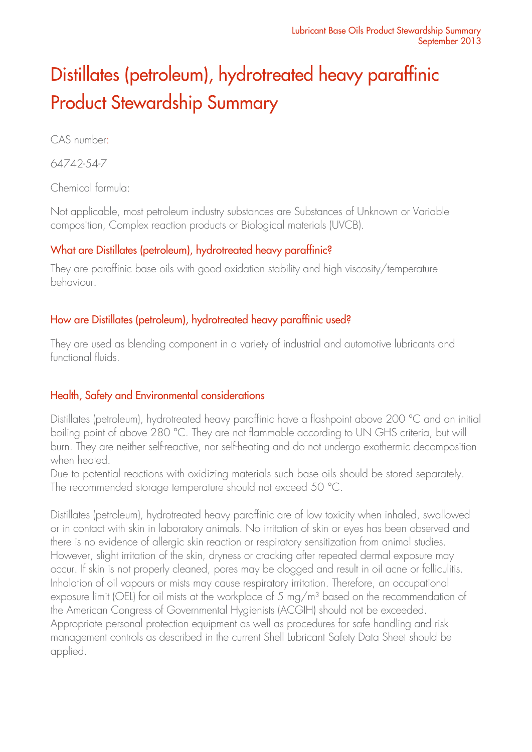# Distillates (petroleum), hydrotreated heavy paraffinic Product Stewardship Summary

CAS number:

64742-54-7

Chemical formula:

Not applicable, most petroleum industry substances are Substances of Unknown or Variable composition, Complex reaction products or Biological materials (UVCB).

## What are Distillates (petroleum), hydrotreated heavy paraffinic?

They are paraffinic base oils with good oxidation stability and high viscosity/temperature behaviour.

## How are Distillates (petroleum), hydrotreated heavy paraffinic used?

They are used as blending component in a variety of industrial and automotive lubricants and functional fluids.

# Health, Safety and Environmental considerations

Distillates (petroleum), hydrotreated heavy paraffinic have a flashpoint above 200 °C and an initial boiling point of above 280 °C. They are not flammable according to UN GHS criteria, but will burn. They are neither self-reactive, nor self-heating and do not undergo exothermic decomposition when heated.

Due to potential reactions with oxidizing materials such base oils should be stored separately. The recommended storage temperature should not exceed 50 °C.

Distillates (petroleum), hydrotreated heavy paraffinic are of low toxicity when inhaled, swallowed or in contact with skin in laboratory animals. No irritation of skin or eyes has been observed and there is no evidence of allergic skin reaction or respiratory sensitization from animal studies. However, slight irritation of the skin, dryness or cracking after repeated dermal exposure may occur. If skin is not properly cleaned, pores may be clogged and result in oil acne or folliculitis. Inhalation of oil vapours or mists may cause respiratory irritation. Therefore, an occupational exposure limit (OEL) for oil mists at the workplace of 5 mg/m<sup>3</sup> based on the recommendation of the American Congress of Governmental Hygienists (ACGIH) should not be exceeded. Appropriate personal protection equipment as well as procedures for safe handling and risk management controls as described in the current Shell Lubricant Safety Data Sheet should be applied.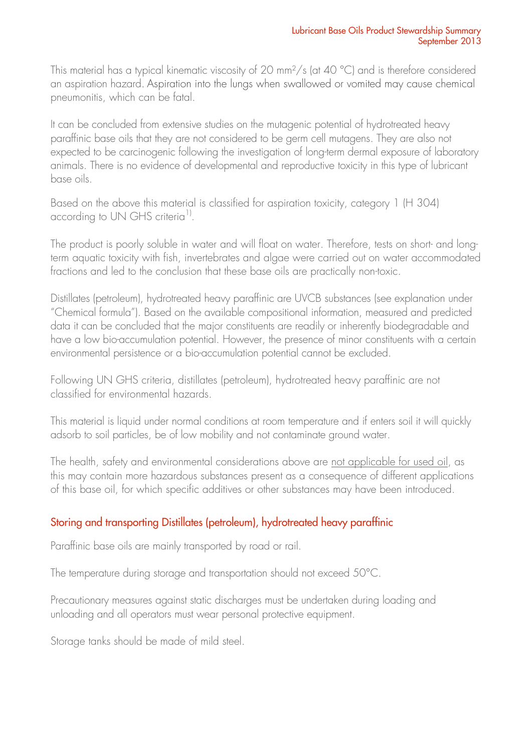This material has a typical kinematic viscosity of 20 mm<sup>2</sup>/s (at 40 °C) and is therefore considered an aspiration hazard. Aspiration into the lungs when swallowed or vomited may cause chemical pneumonitis, which can be fatal.

It can be concluded from extensive studies on the mutagenic potential of hydrotreated heavy paraffinic base oils that they are not considered to be germ cell mutagens. They are also not expected to be carcinogenic following the investigation of long-term dermal exposure of laboratory animals. There is no evidence of developmental and reproductive toxicity in this type of lubricant base oils.

Based on the above this material is classified for aspiration toxicity, category 1 (H 304) according to UN GHS criteria<sup>1)</sup>.

The product is poorly soluble in water and will float on water. Therefore, tests on short- and longterm aquatic toxicity with fish, invertebrates and algae were carried out on water accommodated fractions and led to the conclusion that these base oils are practically non-toxic.

Distillates (petroleum), hydrotreated heavy paraffinic are UVCB substances (see explanation under "Chemical formula"). Based on the available compositional information, measured and predicted data it can be concluded that the major constituents are readily or inherently biodegradable and have a low bio-accumulation potential. However, the presence of minor constituents with a certain environmental persistence or a bio-accumulation potential cannot be excluded.

Following UN GHS criteria, distillates (petroleum), hydrotreated heavy paraffinic are not classified for environmental hazards.

This material is liquid under normal conditions at room temperature and if enters soil it will quickly adsorb to soil particles, be of low mobility and not contaminate ground water.

The health, safety and environmental considerations above are not applicable for used oil, as this may contain more hazardous substances present as a consequence of different applications of this base oil, for which specific additives or other substances may have been introduced.

# Storing and transporting Distillates (petroleum), hydrotreated heavy paraffinic

Paraffinic base oils are mainly transported by road or rail.

The temperature during storage and transportation should not exceed 50°C.

Precautionary measures against static discharges must be undertaken during loading and unloading and all operators must wear personal protective equipment.

Storage tanks should be made of mild steel.